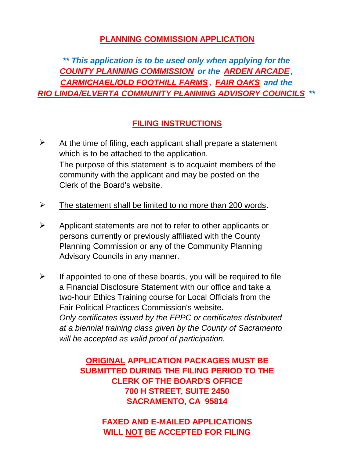### **PLANNING COMMISSION APPLICATION**

*\*\* This application is to be used only when applying for the COUNTY PLANNING COMMISSION or the ARDEN ARCADE , CARMICHAEL/OLD FOOTHILL FARMS , FAIR OAKS and the RIO LINDA/ELVERTA COMMUNITY PLANNING ADVISORY COUNCILS \*\**

## **FILING INSTRUCTIONS**

- ➤ Clerk of the Board's website. At the time of filing, each applicant shall prepare a statement which is to be attached to the application. community with the applicant and may be posted on the The purpose of this statement is to acquaint members of the
- $\blacktriangleright$ The statement shall be limited to no more than 200 words.
- $\blacktriangleright$ persons currently or previously affiliated with the County Applicant statements are not to refer to other applicants or Planning Commission or any of the Community Planning Advisory Councils in any manner.
- $\blacktriangleright$ *will be accepted as valid proof of participation.* Fair Political Practices Commission's website. *Only certificates issued by the FPPC or certificates distributed at a biennial training class given by the County of Sacramento* a Financial Disclosure Statement with our office and take a two-hour Ethics Training course for Local Officials from the If appointed to one of these boards, you will be required to file

**ORIGINAL APPLICATION PACKAGES MUST BE SUBMITTED DURING THE FILING PERIOD TO THE CLERK OF THE BOARD'S OFFICE 700 H STREET, SUITE 2450 SACRAMENTO, CA 95814**

> **WILL NOT BE ACCEPTED FOR FILING FAXED AND E-MAILED APPLICATIONS**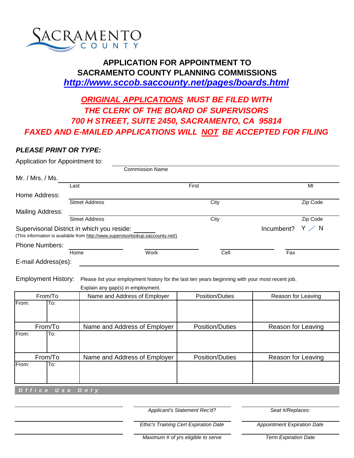

#### **APPLICATION FOR APPOINTMENT TO SACRAMENTO COUNTY PLANNING COMMISSIONS** *http://www.sccob.saccounty.net/pages/boards.html*

# *FAXED AND E-MAILED APPLICATIONS WILL NOT BE ACCEPTED FOR FILING 700 H STREET, SUITE 2450, SACRAMENTO, CA 95814 ORIGINAL APPLICATIONS MUST BE FILED WITH THE CLERK OF THE BOARD OF SUPERVISORS*

#### *PLEASE PRINT OR TYPE:*

| Application for Appointment to: |                                                                                                                                |                        |       |            |                |
|---------------------------------|--------------------------------------------------------------------------------------------------------------------------------|------------------------|-------|------------|----------------|
|                                 |                                                                                                                                | <b>Commission Name</b> |       |            |                |
| Mr. / Mrs. / Ms.                |                                                                                                                                |                        |       |            |                |
|                                 | Last                                                                                                                           |                        | First |            | MI             |
| Home Address:                   |                                                                                                                                |                        |       |            |                |
|                                 | <b>Street Address</b>                                                                                                          |                        | City  |            | Zip Code       |
| Mailing Address:                |                                                                                                                                |                        |       |            |                |
|                                 | <b>Street Address</b>                                                                                                          |                        | City  |            | Zip Code       |
|                                 | Supervisorial District in which you reside:<br>(This information is available from http://www.supervisorlookup.saccounty.net/) |                        |       | Incumbent? | $Y \nearrow N$ |
| <b>Phone Numbers:</b>           |                                                                                                                                |                        |       |            |                |
|                                 | Home                                                                                                                           | Work                   | Cell  | Fax        |                |
| E-mail Address(es):             |                                                                                                                                |                        |       |            |                |

Employment History: Please list your employment history for the last ten years beginning with your most recent job.

|                       | Explain any gap(s) in employment. |                        |                    |
|-----------------------|-----------------------------------|------------------------|--------------------|
| From/To               | Name and Address of Employer      | <b>Position/Duties</b> | Reason for Leaving |
| From:<br>To:          |                                   |                        |                    |
| From/To               | Name and Address of Employer      | <b>Position/Duties</b> | Reason for Leaving |
| <b>IFrom:</b><br>lTo: |                                   |                        |                    |
| From/To               | Name and Address of Employer      | <b>Position/Duties</b> | Reason for Leaving |
| From:<br>To:          |                                   |                        |                    |
| Office Use Only       |                                   |                        |                    |

*Applicant's Statement Rec'd?*

*Seat #/Replaces:*

*Ethic's Training Cert Expiration Date*

*Appointment Expiration Date*

*Maximum # of yrs eligible to serve*

*Term Expiration Date*